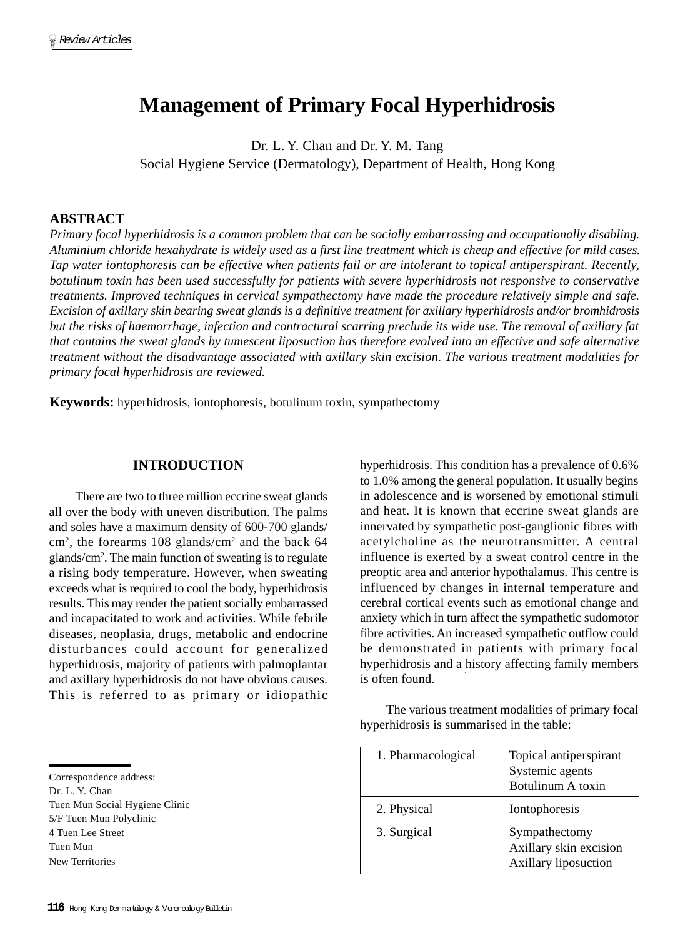# **Management of Primary Focal Hyperhidrosis**

Dr. L. Y. Chan and Dr. Y. M. Tang Social Hygiene Service (Dermatology), Department of Health, Hong Kong

### **ABSTRACT**

*Primary focal hyperhidrosis is a common problem that can be socially embarrassing and occupationally disabling. Aluminium chloride hexahydrate is widely used as a first line treatment which is cheap and effective for mild cases. Tap water iontophoresis can be effective when patients fail or are intolerant to topical antiperspirant. Recently, botulinum toxin has been used successfully for patients with severe hyperhidrosis not responsive to conservative treatments. Improved techniques in cervical sympathectomy have made the procedure relatively simple and safe. Excision of axillary skin bearing sweat glands is a definitive treatment for axillary hyperhidrosis and/or bromhidrosis but the risks of haemorrhage, infection and contractural scarring preclude its wide use. The removal of axillary fat that contains the sweat glands by tumescent liposuction has therefore evolved into an effective and safe alternative treatment without the disadvantage associated with axillary skin excision. The various treatment modalities for primary focal hyperhidrosis are reviewed.*

**Keywords:** hyperhidrosis, iontophoresis, botulinum toxin, sympathectomy

### **INTRODUCTION**

There are two to three million eccrine sweat glands all over the body with uneven distribution. The palms and soles have a maximum density of 600-700 glands/ cm2 , the forearms 108 glands/cm2 and the back 64 glands/cm2 . The main function of sweating is to regulate a rising body temperature. However, when sweating exceeds what is required to cool the body, hyperhidrosis results. This may render the patient socially embarrassed and incapacitated to work and activities. While febrile diseases, neoplasia, drugs, metabolic and endocrine disturbances could account for generalized hyperhidrosis, majority of patients with palmoplantar and axillary hyperhidrosis do not have obvious causes. This is referred to as primary or idiopathic

hyperhidrosis. This condition has a prevalence of 0.6% to 1.0% among the general population. It usually begins in adolescence and is worsened by emotional stimuli and heat. It is known that eccrine sweat glands are innervated by sympathetic post-ganglionic fibres with acetylcholine as the neurotransmitter. A central influence is exerted by a sweat control centre in the preoptic area and anterior hypothalamus. This centre is influenced by changes in internal temperature and cerebral cortical events such as emotional change and anxiety which in turn affect the sympathetic sudomotor fibre activities. An increased sympathetic outflow could be demonstrated in patients with primary focal hyperhidrosis and a history affecting family members is often found.

The various treatment modalities of primary focal hyperhidrosis is summarised in the table:

| 1. Pharmacological | Topical antiperspirant<br>Systemic agents<br>Botulinum A toxin  |
|--------------------|-----------------------------------------------------------------|
| 2. Physical        | Iontophoresis                                                   |
| 3. Surgical        | Sympathectomy<br>Axillary skin excision<br>Axillary liposuction |

Correspondence address:

Dr. L. Y. Chan

Tuen Mun Social Hygiene Clinic 5/F Tuen Mun Polyclinic 4 Tuen Lee Street Tuen Mun New Territories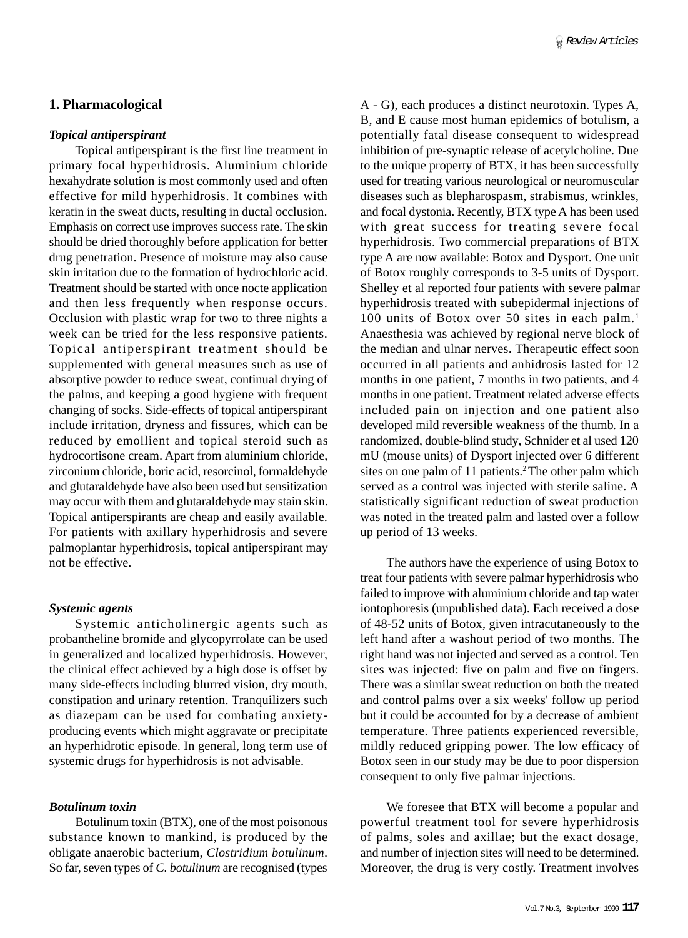### **1. Pharmacological**

#### *Topical antiperspirant*

Topical antiperspirant is the first line treatment in primary focal hyperhidrosis. Aluminium chloride hexahydrate solution is most commonly used and often effective for mild hyperhidrosis. It combines with keratin in the sweat ducts, resulting in ductal occlusion. Emphasis on correct use improves success rate. The skin should be dried thoroughly before application for better drug penetration. Presence of moisture may also cause skin irritation due to the formation of hydrochloric acid. Treatment should be started with once nocte application and then less frequently when response occurs. Occlusion with plastic wrap for two to three nights a week can be tried for the less responsive patients. Topical antiperspirant treatment should be supplemented with general measures such as use of absorptive powder to reduce sweat, continual drying of the palms, and keeping a good hygiene with frequent changing of socks. Side-effects of topical antiperspirant include irritation, dryness and fissures, which can be reduced by emollient and topical steroid such as hydrocortisone cream. Apart from aluminium chloride, zirconium chloride, boric acid, resorcinol, formaldehyde and glutaraldehyde have also been used but sensitization may occur with them and glutaraldehyde may stain skin. Topical antiperspirants are cheap and easily available. For patients with axillary hyperhidrosis and severe palmoplantar hyperhidrosis, topical antiperspirant may not be effective.

#### *Systemic agents*

Systemic anticholinergic agents such as probantheline bromide and glycopyrrolate can be used in generalized and localized hyperhidrosis. However, the clinical effect achieved by a high dose is offset by many side-effects including blurred vision, dry mouth, constipation and urinary retention. Tranquilizers such as diazepam can be used for combating anxietyproducing events which might aggravate or precipitate an hyperhidrotic episode. In general, long term use of systemic drugs for hyperhidrosis is not advisable.

#### *Botulinum toxin*

Botulinum toxin (BTX), one of the most poisonous substance known to mankind, is produced by the obligate anaerobic bacterium, *Clostridium botulinum*. So far, seven types of *C. botulinum* are recognised (types A - G), each produces a distinct neurotoxin. Types A, B, and E cause most human epidemics of botulism, a potentially fatal disease consequent to widespread inhibition of pre-synaptic release of acetylcholine. Due to the unique property of BTX, it has been successfully used for treating various neurological or neuromuscular diseases such as blepharospasm, strabismus, wrinkles, and focal dystonia. Recently, BTX type A has been used with great success for treating severe focal hyperhidrosis. Two commercial preparations of BTX type A are now available: Botox and Dysport. One unit of Botox roughly corresponds to 3-5 units of Dysport. Shelley et al reported four patients with severe palmar hyperhidrosis treated with subepidermal injections of 100 units of Botox over 50 sites in each palm.<sup>1</sup> Anaesthesia was achieved by regional nerve block of the median and ulnar nerves. Therapeutic effect soon occurred in all patients and anhidrosis lasted for 12 months in one patient, 7 months in two patients, and 4 months in one patient. Treatment related adverse effects included pain on injection and one patient also developed mild reversible weakness of the thumb. In a randomized, double-blind study, Schnider et al used 120 mU (mouse units) of Dysport injected over 6 different sites on one palm of 11 patients.<sup>2</sup> The other palm which served as a control was injected with sterile saline. A statistically significant reduction of sweat production was noted in the treated palm and lasted over a follow up period of 13 weeks.

The authors have the experience of using Botox to treat four patients with severe palmar hyperhidrosis who failed to improve with aluminium chloride and tap water iontophoresis (unpublished data). Each received a dose of 48-52 units of Botox, given intracutaneously to the left hand after a washout period of two months. The right hand was not injected and served as a control. Ten sites was injected: five on palm and five on fingers. There was a similar sweat reduction on both the treated and control palms over a six weeks' follow up period but it could be accounted for by a decrease of ambient temperature. Three patients experienced reversible, mildly reduced gripping power. The low efficacy of Botox seen in our study may be due to poor dispersion consequent to only five palmar injections.

We foresee that BTX will become a popular and powerful treatment tool for severe hyperhidrosis of palms, soles and axillae; but the exact dosage, and number of injection sites will need to be determined. Moreover, the drug is very costly. Treatment involves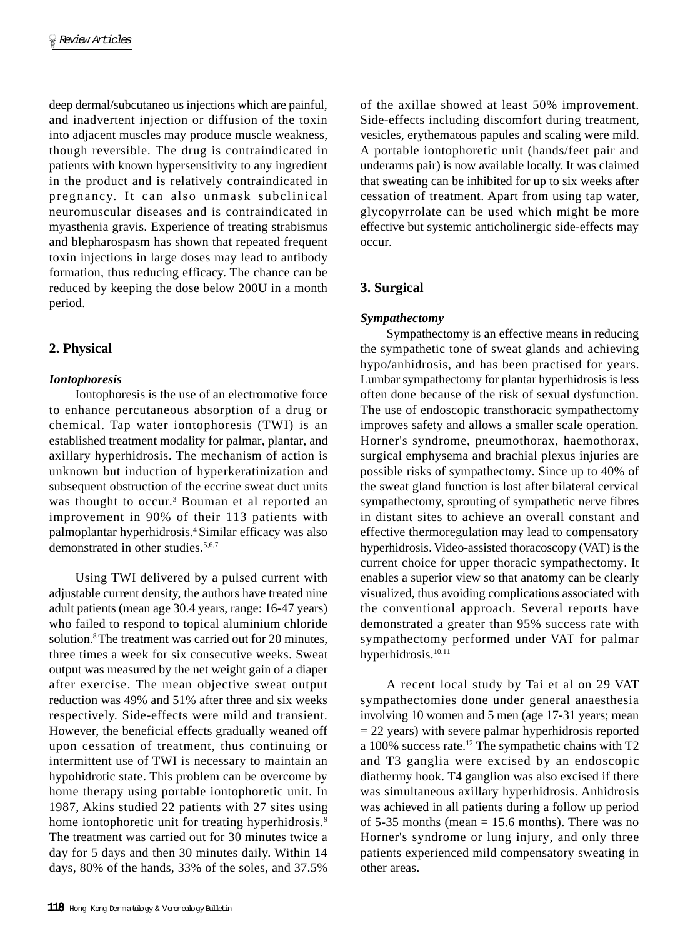deep dermal/subcutaneo us injections which are painful, and inadvertent injection or diffusion of the toxin into adjacent muscles may produce muscle weakness, though reversible. The drug is contraindicated in patients with known hypersensitivity to any ingredient in the product and is relatively contraindicated in pregnancy. It can also unmask subclinical neuromuscular diseases and is contraindicated in myasthenia gravis. Experience of treating strabismus and blepharospasm has shown that repeated frequent toxin injections in large doses may lead to antibody formation, thus reducing efficacy. The chance can be reduced by keeping the dose below 200U in a month period.

# **2. Physical**

# *Iontophoresis*

Iontophoresis is the use of an electromotive force to enhance percutaneous absorption of a drug or chemical. Tap water iontophoresis (TWI) is an established treatment modality for palmar, plantar, and axillary hyperhidrosis. The mechanism of action is unknown but induction of hyperkeratinization and subsequent obstruction of the eccrine sweat duct units was thought to occur.<sup>3</sup> Bouman et al reported an improvement in 90% of their 113 patients with palmoplantar hyperhidrosis.4 Similar efficacy was also demonstrated in other studies.<sup>5,6,7</sup>

Using TWI delivered by a pulsed current with adjustable current density, the authors have treated nine adult patients (mean age 30.4 years, range: 16-47 years) who failed to respond to topical aluminium chloride solution.<sup>8</sup> The treatment was carried out for 20 minutes, three times a week for six consecutive weeks. Sweat output was measured by the net weight gain of a diaper after exercise. The mean objective sweat output reduction was 49% and 51% after three and six weeks respectively. Side-effects were mild and transient. However, the beneficial effects gradually weaned off upon cessation of treatment, thus continuing or intermittent use of TWI is necessary to maintain an hypohidrotic state. This problem can be overcome by home therapy using portable iontophoretic unit. In 1987, Akins studied 22 patients with 27 sites using home iontophoretic unit for treating hyperhidrosis.<sup>9</sup> The treatment was carried out for 30 minutes twice a day for 5 days and then 30 minutes daily. Within 14 days, 80% of the hands, 33% of the soles, and 37.5%

of the axillae showed at least 50% improvement. Side-effects including discomfort during treatment, vesicles, erythematous papules and scaling were mild. A portable iontophoretic unit (hands/feet pair and underarms pair) is now available locally. It was claimed that sweating can be inhibited for up to six weeks after cessation of treatment. Apart from using tap water, glycopyrrolate can be used which might be more effective but systemic anticholinergic side-effects may occur.

# **3. Surgical**

## *Sympathectomy*

Sympathectomy is an effective means in reducing the sympathetic tone of sweat glands and achieving hypo/anhidrosis, and has been practised for years. Lumbar sympathectomy for plantar hyperhidrosis is less often done because of the risk of sexual dysfunction. The use of endoscopic transthoracic sympathectomy improves safety and allows a smaller scale operation. Horner's syndrome, pneumothorax, haemothorax, surgical emphysema and brachial plexus injuries are possible risks of sympathectomy. Since up to 40% of the sweat gland function is lost after bilateral cervical sympathectomy, sprouting of sympathetic nerve fibres in distant sites to achieve an overall constant and effective thermoregulation may lead to compensatory hyperhidrosis. Video-assisted thoracoscopy (VAT) is the current choice for upper thoracic sympathectomy. It enables a superior view so that anatomy can be clearly visualized, thus avoiding complications associated with the conventional approach. Several reports have demonstrated a greater than 95% success rate with sympathectomy performed under VAT for palmar hyperhidrosis.10,11

A recent local study by Tai et al on 29 VAT sympathectomies done under general anaesthesia involving 10 women and 5 men (age 17-31 years; mean  $= 22$  years) with severe palmar hyperhidrosis reported a 100% success rate.12 The sympathetic chains with T2 and T3 ganglia were excised by an endoscopic diathermy hook. T4 ganglion was also excised if there was simultaneous axillary hyperhidrosis. Anhidrosis was achieved in all patients during a follow up period of 5-35 months (mean  $= 15.6$  months). There was no Horner's syndrome or lung injury, and only three patients experienced mild compensatory sweating in other areas.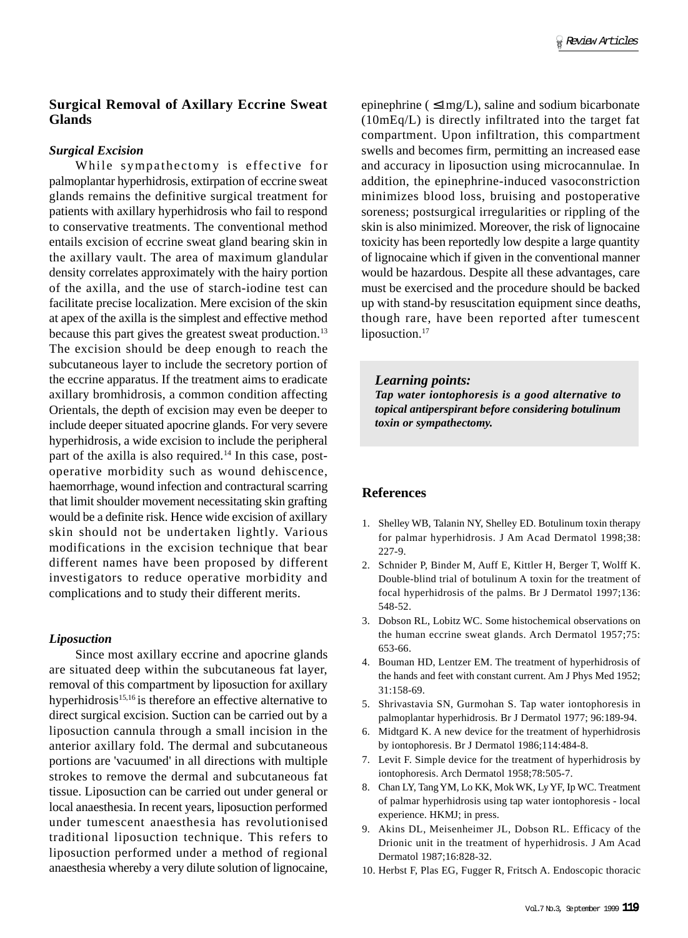### **Surgical Removal of Axillary Eccrine Sweat Glands**

#### *Surgical Excision*

While sympathectomy is effective for palmoplantar hyperhidrosis, extirpation of eccrine sweat glands remains the definitive surgical treatment for patients with axillary hyperhidrosis who fail to respond to conservative treatments. The conventional method entails excision of eccrine sweat gland bearing skin in the axillary vault. The area of maximum glandular density correlates approximately with the hairy portion of the axilla, and the use of starch-iodine test can facilitate precise localization. Mere excision of the skin at apex of the axilla is the simplest and effective method because this part gives the greatest sweat production.<sup>13</sup> The excision should be deep enough to reach the subcutaneous layer to include the secretory portion of the eccrine apparatus. If the treatment aims to eradicate axillary bromhidrosis, a common condition affecting Orientals, the depth of excision may even be deeper to include deeper situated apocrine glands. For very severe hyperhidrosis, a wide excision to include the peripheral part of the axilla is also required.<sup>14</sup> In this case, postoperative morbidity such as wound dehiscence, haemorrhage, wound infection and contractural scarring that limit shoulder movement necessitating skin grafting would be a definite risk. Hence wide excision of axillary skin should not be undertaken lightly. Various modifications in the excision technique that bear different names have been proposed by different investigators to reduce operative morbidity and complications and to study their different merits.

### *Liposuction*

Since most axillary eccrine and apocrine glands are situated deep within the subcutaneous fat layer, removal of this compartment by liposuction for axillary hyperhidrosis<sup>15,16</sup> is therefore an effective alternative to direct surgical excision. Suction can be carried out by a liposuction cannula through a small incision in the anterior axillary fold. The dermal and subcutaneous portions are 'vacuumed' in all directions with multiple strokes to remove the dermal and subcutaneous fat tissue. Liposuction can be carried out under general or local anaesthesia. In recent years, liposuction performed under tumescent anaesthesia has revolutionised traditional liposuction technique. This refers to liposuction performed under a method of regional anaesthesia whereby a very dilute solution of lignocaine, epinephrine ( $\leq$ 1mg/L), saline and sodium bicarbonate (10mEq/L) is directly infiltrated into the target fat compartment. Upon infiltration, this compartment swells and becomes firm, permitting an increased ease and accuracy in liposuction using microcannulae. In addition, the epinephrine-induced vasoconstriction minimizes blood loss, bruising and postoperative soreness; postsurgical irregularities or rippling of the skin is also minimized. Moreover, the risk of lignocaine toxicity has been reportedly low despite a large quantity of lignocaine which if given in the conventional manner would be hazardous. Despite all these advantages, care must be exercised and the procedure should be backed up with stand-by resuscitation equipment since deaths, though rare, have been reported after tumescent liposuction.<sup>17</sup>

### *Learning points:*

*Tap water iontophoresis is a good alternative to topical antiperspirant before considering botulinum toxin or sympathectomy.*

### **References**

- 1. Shelley WB, Talanin NY, Shelley ED. Botulinum toxin therapy for palmar hyperhidrosis. J Am Acad Dermatol 1998;38: 227-9.
- 2. Schnider P, Binder M, Auff E, Kittler H, Berger T, Wolff K. Double-blind trial of botulinum A toxin for the treatment of focal hyperhidrosis of the palms. Br J Dermatol 1997;136: 548-52.
- 3. Dobson RL, Lobitz WC. Some histochemical observations on the human eccrine sweat glands. Arch Dermatol 1957;75: 653-66.
- 4. Bouman HD, Lentzer EM. The treatment of hyperhidrosis of the hands and feet with constant current. Am J Phys Med 1952; 31:158-69.
- 5. Shrivastavia SN, Gurmohan S. Tap water iontophoresis in palmoplantar hyperhidrosis. Br J Dermatol 1977; 96:189-94.
- 6. Midtgard K. A new device for the treatment of hyperhidrosis by iontophoresis. Br J Dermatol 1986;114:484-8.
- 7. Levit F. Simple device for the treatment of hyperhidrosis by iontophoresis. Arch Dermatol 1958;78:505-7.
- 8. Chan LY, Tang YM, Lo KK, Mok WK, Ly YF, Ip WC. Treatment of palmar hyperhidrosis using tap water iontophoresis - local experience. HKMJ; in press.
- 9. Akins DL, Meisenheimer JL, Dobson RL. Efficacy of the Drionic unit in the treatment of hyperhidrosis. J Am Acad Dermatol 1987;16:828-32.
- 10. Herbst F, Plas EG, Fugger R, Fritsch A. Endoscopic thoracic